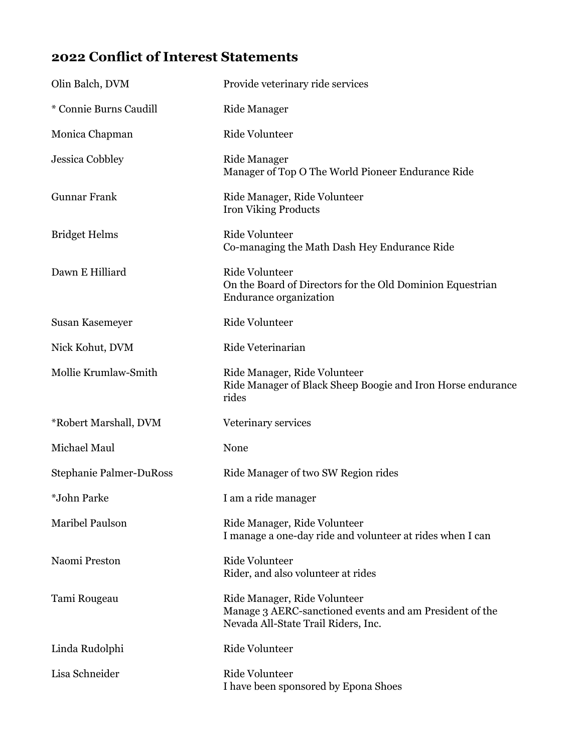## **2022 Conflict of Interest Statements**

| Olin Balch, DVM                | Provide veterinary ride services                                                                                               |
|--------------------------------|--------------------------------------------------------------------------------------------------------------------------------|
| * Connie Burns Caudill         | <b>Ride Manager</b>                                                                                                            |
| Monica Chapman                 | <b>Ride Volunteer</b>                                                                                                          |
| <b>Jessica Cobbley</b>         | <b>Ride Manager</b><br>Manager of Top O The World Pioneer Endurance Ride                                                       |
| <b>Gunnar Frank</b>            | Ride Manager, Ride Volunteer<br>Iron Viking Products                                                                           |
| <b>Bridget Helms</b>           | Ride Volunteer<br>Co-managing the Math Dash Hey Endurance Ride                                                                 |
| Dawn E Hilliard                | <b>Ride Volunteer</b><br>On the Board of Directors for the Old Dominion Equestrian<br>Endurance organization                   |
| Susan Kasemeyer                | <b>Ride Volunteer</b>                                                                                                          |
| Nick Kohut, DVM                | Ride Veterinarian                                                                                                              |
| Mollie Krumlaw-Smith           | Ride Manager, Ride Volunteer<br>Ride Manager of Black Sheep Boogie and Iron Horse endurance<br>rides                           |
| *Robert Marshall, DVM          | Veterinary services                                                                                                            |
| Michael Maul                   | None                                                                                                                           |
| <b>Stephanie Palmer-DuRoss</b> | Ride Manager of two SW Region rides                                                                                            |
| *John Parke                    | I am a ride manager                                                                                                            |
| Maribel Paulson                | Ride Manager, Ride Volunteer<br>I manage a one-day ride and volunteer at rides when I can                                      |
| Naomi Preston                  | Ride Volunteer<br>Rider, and also volunteer at rides                                                                           |
| Tami Rougeau                   | Ride Manager, Ride Volunteer<br>Manage 3 AERC-sanctioned events and am President of the<br>Nevada All-State Trail Riders, Inc. |
| Linda Rudolphi                 | <b>Ride Volunteer</b>                                                                                                          |
| Lisa Schneider                 | <b>Ride Volunteer</b><br>I have been sponsored by Epona Shoes                                                                  |